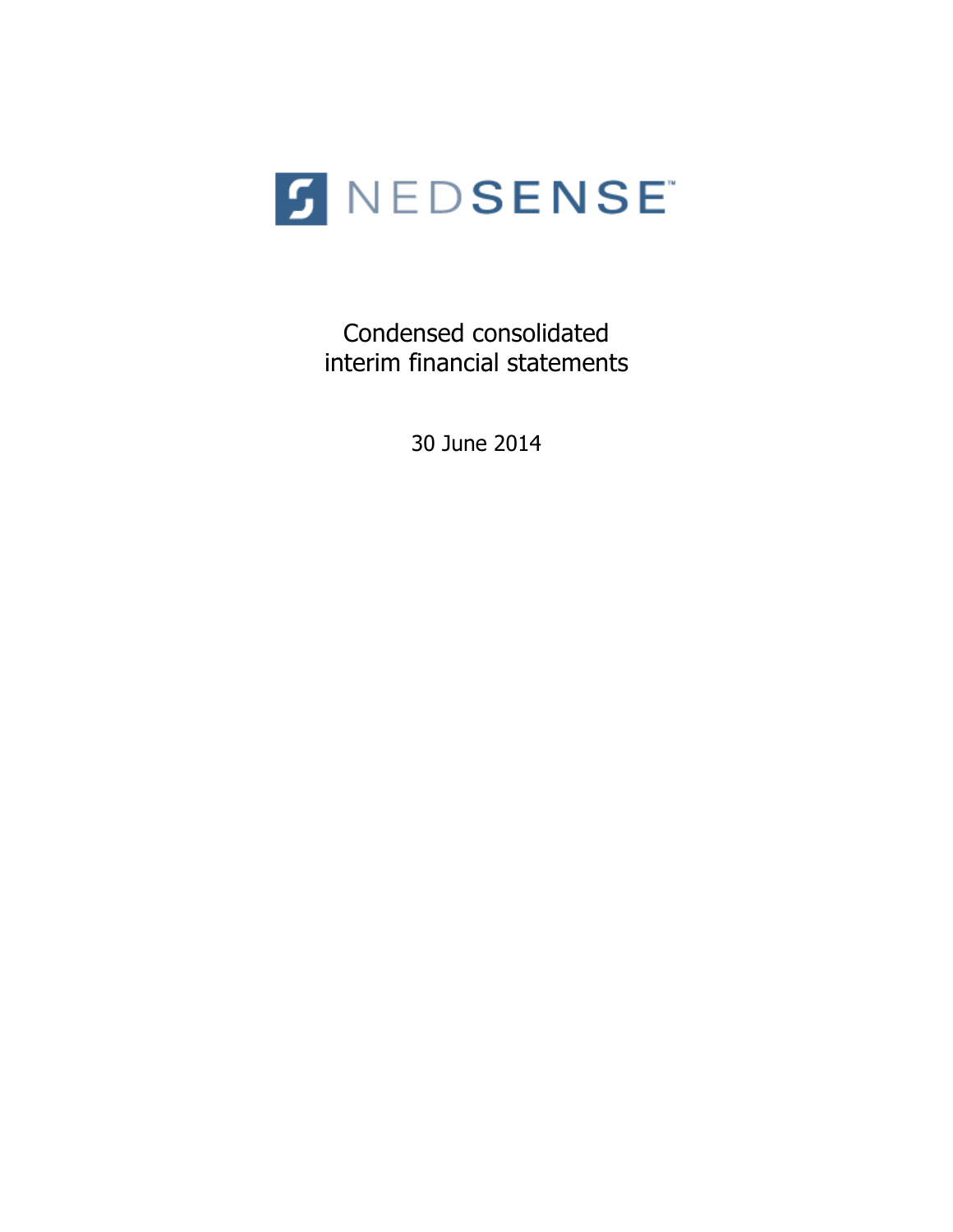

Condensed consolidated interim financial statements

30 June 2014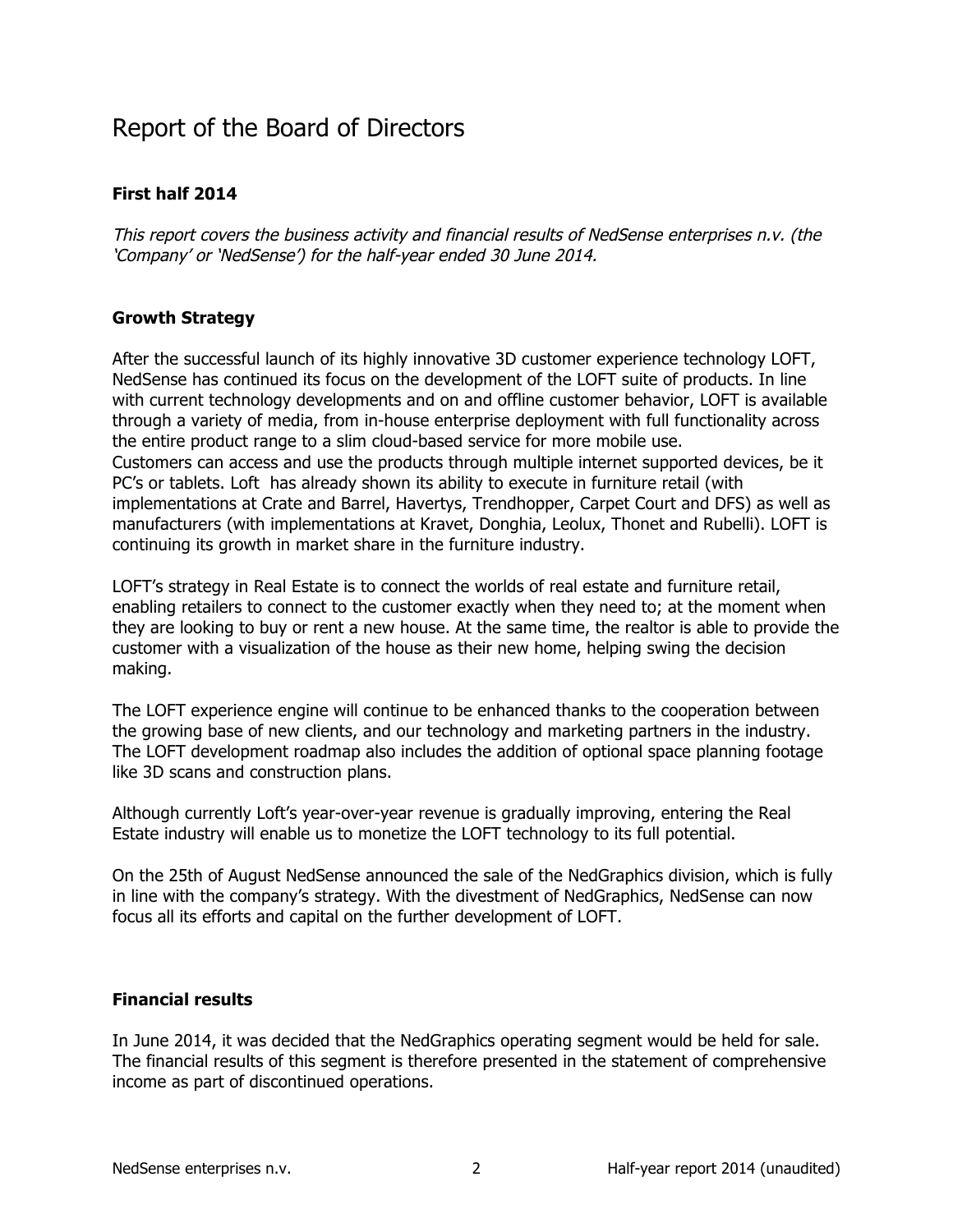# Report of the Board of Directors

# **First half 2014**

This report covers the business activity and financial results of NedSense enterprises n.v. (the 'Company' or 'NedSense') for the half-year ended 30 June 2014.

# **Growth Strategy**

After the successful launch of its highly innovative 3D customer experience technology LOFT, NedSense has continued its focus on the development of the LOFT suite of products. In line with current technology developments and on and offline customer behavior, LOFT is available through a variety of media, from in-house enterprise deployment with full functionality across the entire product range to a slim cloud-based service for more mobile use. Customers can access and use the products through multiple internet supported devices, be it PC's or tablets. Loft has already shown its ability to execute in furniture retail (with implementations at Crate and Barrel, Havertys, Trendhopper, Carpet Court and DFS) as well as manufacturers (with implementations at Kravet, Donghia, Leolux, Thonet and Rubelli). LOFT is continuing its growth in market share in the furniture industry.

LOFT's strategy in Real Estate is to connect the worlds of real estate and furniture retail, enabling retailers to connect to the customer exactly when they need to; at the moment when they are looking to buy or rent a new house. At the same time, the realtor is able to provide the customer with a visualization of the house as their new home, helping swing the decision making.

The LOFT experience engine will continue to be enhanced thanks to the cooperation between the growing base of new clients, and our technology and marketing partners in the industry. The LOFT development roadmap also includes the addition of optional space planning footage like 3D scans and construction plans.

Although currently Loft's year-over-year revenue is gradually improving, entering the Real Estate industry will enable us to monetize the LOFT technology to its full potential.

On the 25th of August NedSense announced the sale of the NedGraphics division, which is fully in line with the company's strategy. With the divestment of NedGraphics, NedSense can now focus all its efforts and capital on the further development of LOFT.

# **Financial results**

In June 2014, it was decided that the NedGraphics operating segment would be held for sale. The financial results of this segment is therefore presented in the statement of comprehensive income as part of discontinued operations.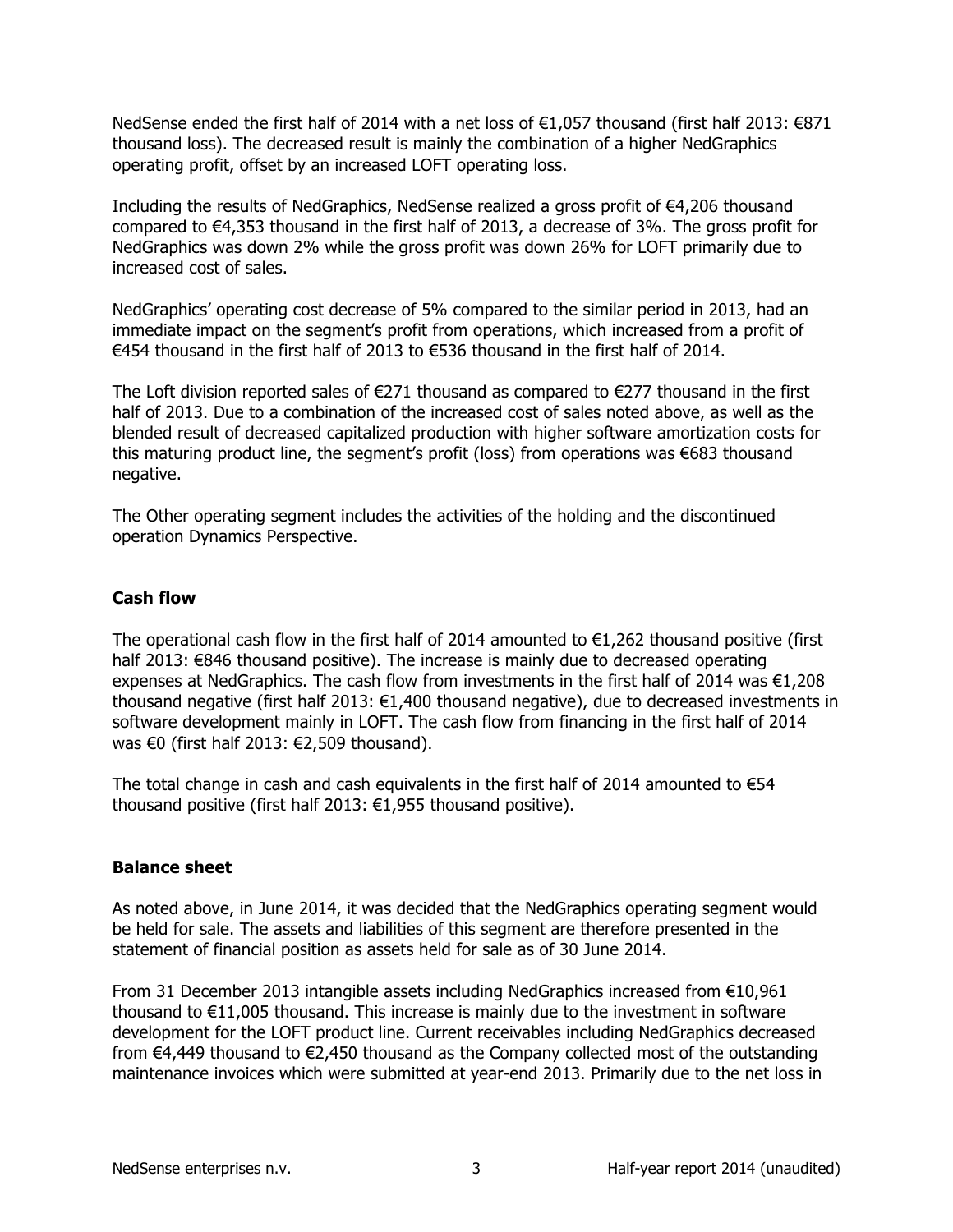NedSense ended the first half of 2014 with a net loss of  $€1,057$  thousand (first half 2013:  $€871$ thousand loss). The decreased result is mainly the combination of a higher NedGraphics operating profit, offset by an increased LOFT operating loss.

Including the results of NedGraphics, NedSense realized a gross profit of €4,206 thousand compared to  $€4,353$  thousand in the first half of 2013, a decrease of 3%. The gross profit for NedGraphics was down 2% while the gross profit was down 26% for LOFT primarily due to increased cost of sales.

NedGraphics' operating cost decrease of 5% compared to the similar period in 2013, had an immediate impact on the segment's profit from operations, which increased from a profit of €454 thousand in the first half of 2013 to €536 thousand in the first half of 2014.

The Loft division reported sales of  $E271$  thousand as compared to  $E277$  thousand in the first half of 2013. Due to a combination of the increased cost of sales noted above, as well as the blended result of decreased capitalized production with higher software amortization costs for this maturing product line, the segment's profit (loss) from operations was €683 thousand negative.

The Other operating segment includes the activities of the holding and the discontinued operation Dynamics Perspective.

# **Cash flow**

The operational cash flow in the first half of 2014 amounted to  $\epsilon$ 1,262 thousand positive (first half 2013: €846 thousand positive). The increase is mainly due to decreased operating expenses at NedGraphics. The cash flow from investments in the first half of 2014 was  $€1,208$ thousand negative (first half 2013:  $\epsilon$ 1,400 thousand negative), due to decreased investments in software development mainly in LOFT. The cash flow from financing in the first half of 2014 was  $€0$  (first half 2013:  $€2,509$  thousand).

The total change in cash and cash equivalents in the first half of 2014 amounted to  $€54$ thousand positive (first half 2013:  $€1,955$  thousand positive).

# **Balance sheet**

As noted above, in June 2014, it was decided that the NedGraphics operating segment would be held for sale. The assets and liabilities of this segment are therefore presented in the statement of financial position as assets held for sale as of 30 June 2014.

From 31 December 2013 intangible assets including NedGraphics increased from  $€10,961$ thousand to  $€11,005$  thousand. This increase is mainly due to the investment in software development for the LOFT product line. Current receivables including NedGraphics decreased from  $€4,449$  thousand to  $€2,450$  thousand as the Company collected most of the outstanding maintenance invoices which were submitted at year-end 2013. Primarily due to the net loss in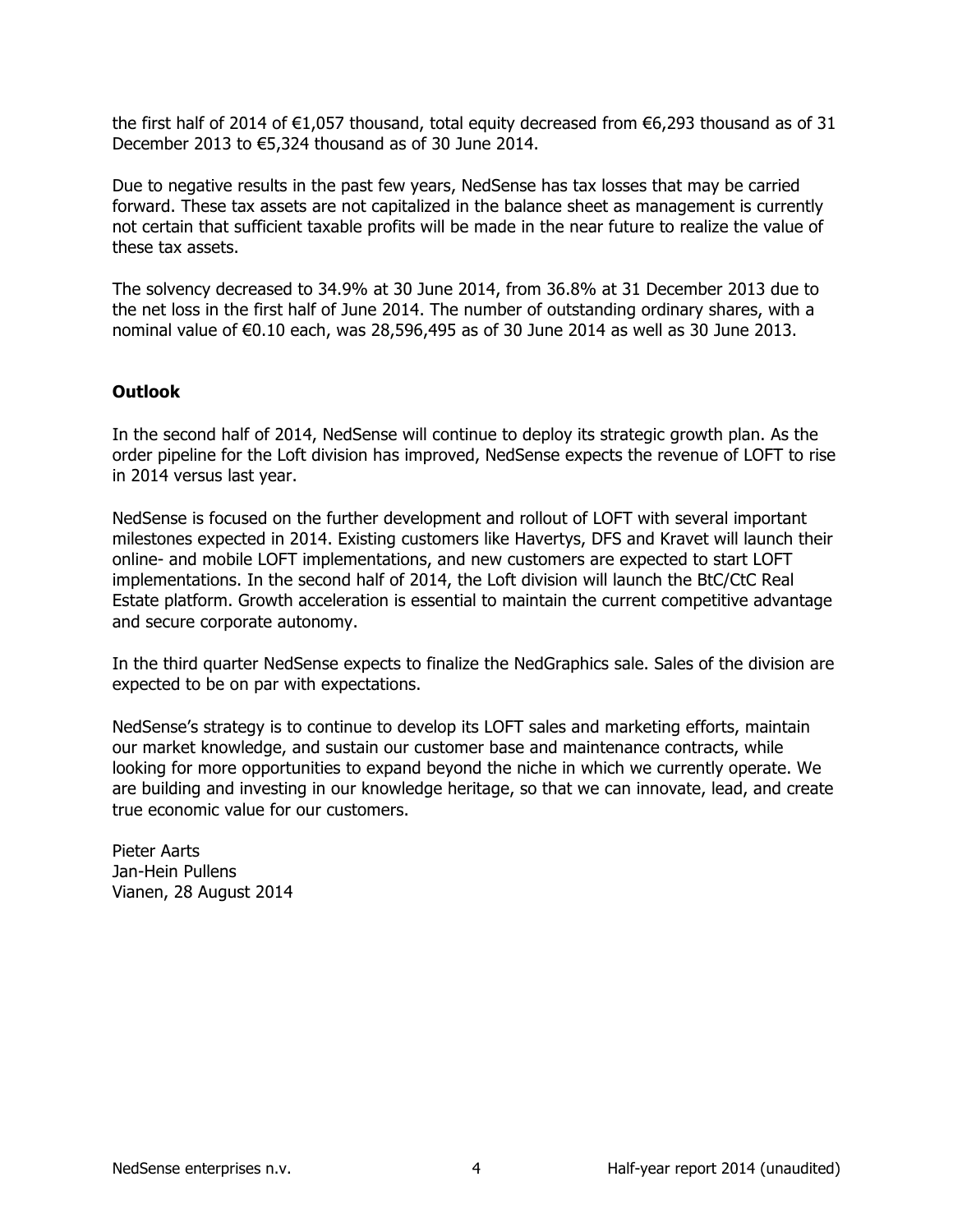the first half of 2014 of  $E1,057$  thousand, total equity decreased from  $E6,293$  thousand as of 31 December 2013 to  $€5,324$  thousand as of 30 June 2014.

Due to negative results in the past few years, NedSense has tax losses that may be carried forward. These tax assets are not capitalized in the balance sheet as management is currently not certain that sufficient taxable profits will be made in the near future to realize the value of these tax assets.

The solvency decreased to 34.9% at 30 June 2014, from 36.8% at 31 December 2013 due to the net loss in the first half of June 2014. The number of outstanding ordinary shares, with a nominal value of  $\epsilon$ 0.10 each, was 28,596,495 as of 30 June 2014 as well as 30 June 2013.

# **Outlook&**

In the second half of 2014, NedSense will continue to deploy its strategic growth plan. As the order pipeline for the Loft division has improved, NedSense expects the revenue of LOFT to rise in 2014 versus last year.

NedSense is focused on the further development and rollout of LOFT with several important milestones expected in 2014. Existing customers like Havertys, DFS and Kravet will launch their online- and mobile LOFT implementations, and new customers are expected to start LOFT implementations. In the second half of 2014, the Loft division will launch the BtC/CtC Real Estate platform. Growth acceleration is essential to maintain the current competitive advantage and secure corporate autonomy.

In the third quarter NedSense expects to finalize the NedGraphics sale. Sales of the division are expected to be on par with expectations.

NedSense's strategy is to continue to develop its LOFT sales and marketing efforts, maintain our market knowledge, and sustain our customer base and maintenance contracts, while looking for more opportunities to expand beyond the niche in which we currently operate. We are building and investing in our knowledge heritage, so that we can innovate, lead, and create true economic value for our customers.

Pieter Aarts Jan-Hein Pullens Vianen, 28 August 2014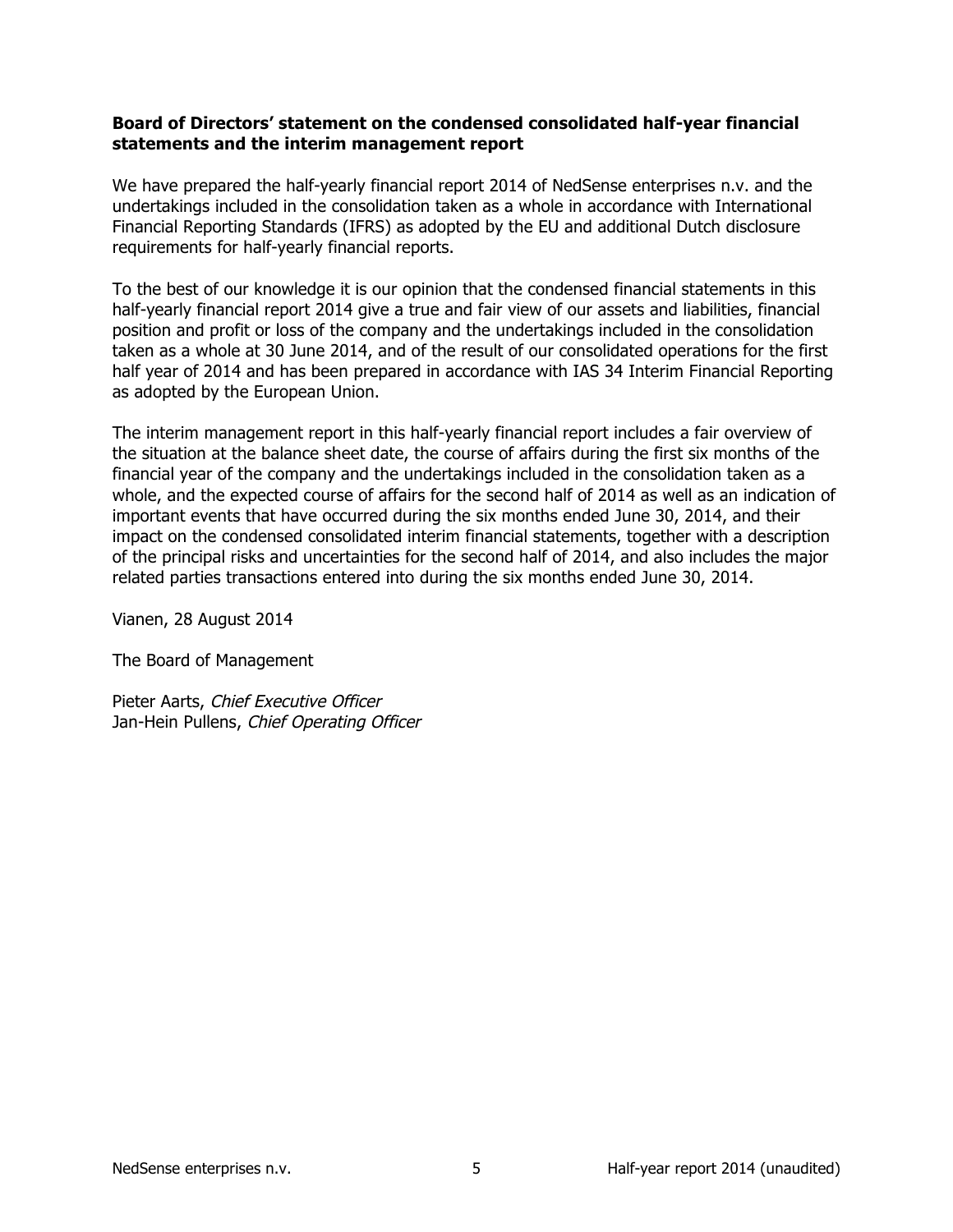# Board of Directors' statement on the condensed consolidated half-year financial statements and the interim management report

We have prepared the half-yearly financial report 2014 of NedSense enterprises n.v. and the undertakings included in the consolidation taken as a whole in accordance with International Financial Reporting Standards (IFRS) as adopted by the EU and additional Dutch disclosure requirements for half-yearly financial reports.

To the best of our knowledge it is our opinion that the condensed financial statements in this half-yearly financial report 2014 give a true and fair view of our assets and liabilities, financial position and profit or loss of the company and the undertakings included in the consolidation taken as a whole at 30 June 2014, and of the result of our consolidated operations for the first half year of 2014 and has been prepared in accordance with IAS 34 Interim Financial Reporting as adopted by the European Union.

The interim management report in this half-yearly financial report includes a fair overview of the situation at the balance sheet date, the course of affairs during the first six months of the financial year of the company and the undertakings included in the consolidation taken as a whole, and the expected course of affairs for the second half of 2014 as well as an indication of important events that have occurred during the six months ended June 30, 2014, and their impact on the condensed consolidated interim financial statements, together with a description of the principal risks and uncertainties for the second half of 2014, and also includes the major related parties transactions entered into during the six months ended June 30, 2014.

Vianen, 28 August 2014

The Board of Management

Pieter Aarts, Chief Executive Officer Jan-Hein Pullens, Chief Operating Officer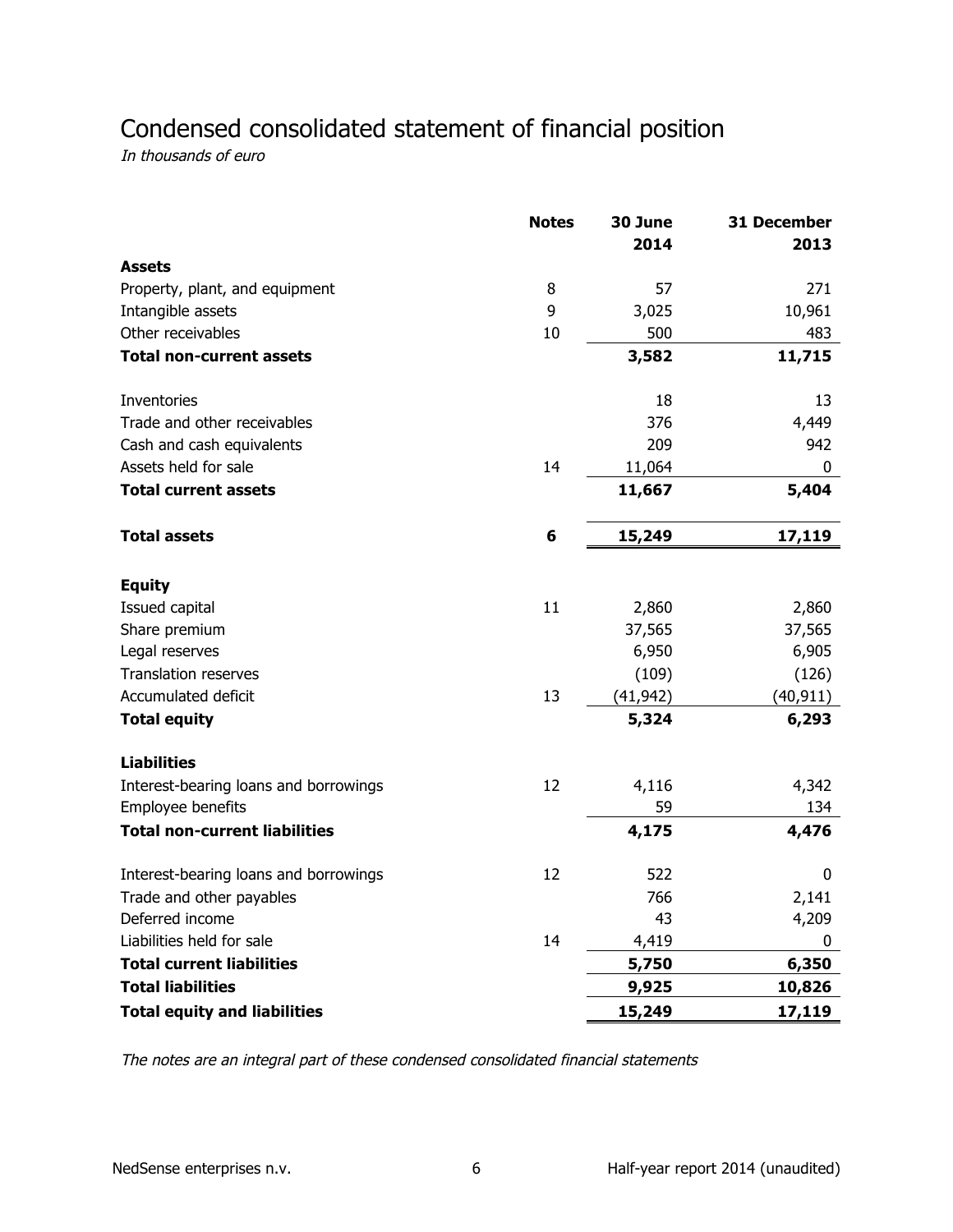# Condensed consolidated statement of financial position

In thousands of euro

|                                       | <b>Notes</b> | 30 June<br>2014 | 31 December<br>2013 |
|---------------------------------------|--------------|-----------------|---------------------|
| <b>Assets</b>                         |              |                 |                     |
| Property, plant, and equipment        | 8            | 57              | 271                 |
| Intangible assets                     | 9            | 3,025           | 10,961              |
| Other receivables                     | 10           | 500             | 483                 |
| <b>Total non-current assets</b>       |              | 3,582           | 11,715              |
| Inventories                           |              | 18              | 13                  |
| Trade and other receivables           |              | 376             | 4,449               |
| Cash and cash equivalents             |              | 209             | 942                 |
| Assets held for sale                  | 14           | 11,064          | 0                   |
| <b>Total current assets</b>           |              | 11,667          | 5,404               |
| <b>Total assets</b>                   | 6            | 15,249          | 17,119              |
| <b>Equity</b>                         |              |                 |                     |
| Issued capital                        | 11           | 2,860           | 2,860               |
| Share premium                         |              | 37,565          | 37,565              |
| Legal reserves                        |              | 6,950           | 6,905               |
| <b>Translation reserves</b>           |              | (109)           | (126)               |
| Accumulated deficit                   | 13           | (41, 942)       | (40, 911)           |
| <b>Total equity</b>                   |              | 5,324           | 6,293               |
| <b>Liabilities</b>                    |              |                 |                     |
| Interest-bearing loans and borrowings | 12           | 4,116           | 4,342               |
| Employee benefits                     |              | 59              | 134                 |
| <b>Total non-current liabilities</b>  |              | 4,175           | 4,476               |
| Interest-bearing loans and borrowings | 12           | 522             | 0                   |
| Trade and other payables              |              | 766             | 2,141               |
| Deferred income                       |              | 43              | 4,209               |
| Liabilities held for sale             | 14           | 4,419           | 0                   |
| <b>Total current liabilities</b>      |              | 5,750           | 6,350               |
| <b>Total liabilities</b>              |              | 9,925           | 10,826              |
| <b>Total equity and liabilities</b>   |              | 15,249          | 17,119              |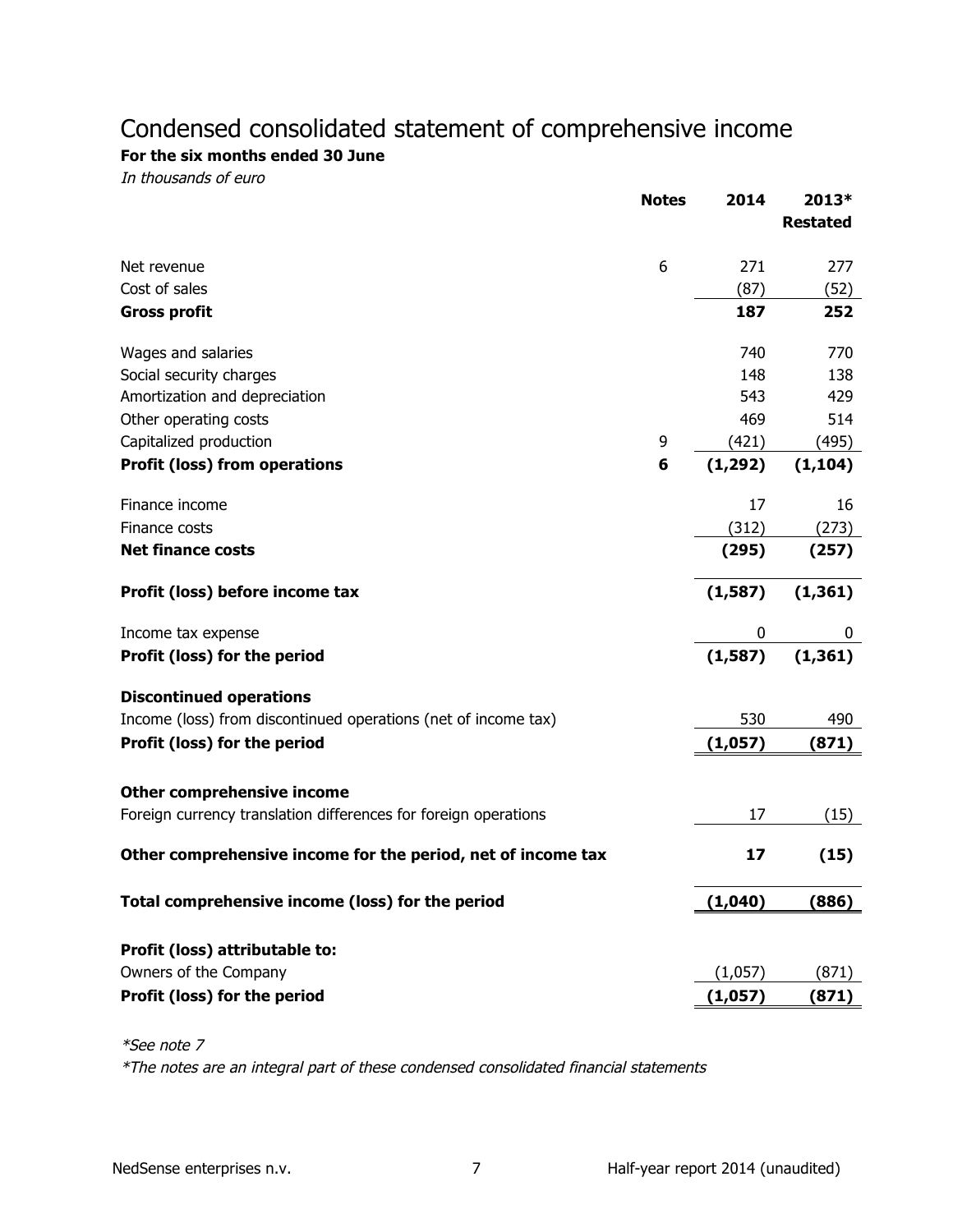# Condensed consolidated statement of comprehensive income

For the six months ended 30 June

In thousands of euro

|                                                                 | <b>Notes</b> | 2014     | 2013*           |
|-----------------------------------------------------------------|--------------|----------|-----------------|
|                                                                 |              |          | <b>Restated</b> |
| Net revenue                                                     | 6            | 271      | 277             |
| Cost of sales                                                   |              | (87)     | (52)            |
| <b>Gross profit</b>                                             |              | 187      | 252             |
| Wages and salaries                                              |              | 740      | 770             |
| Social security charges                                         |              | 148      | 138             |
| Amortization and depreciation                                   |              | 543      | 429             |
| Other operating costs                                           |              | 469      | 514             |
| Capitalized production                                          | 9            | (421)    | (495)           |
| <b>Profit (loss) from operations</b>                            | 6            | (1, 292) | (1, 104)        |
| Finance income                                                  |              | 17       | 16              |
| Finance costs                                                   |              | (312)    | (273)           |
| <b>Net finance costs</b>                                        |              | (295)    | (257)           |
| Profit (loss) before income tax                                 |              | (1, 587) | (1, 361)        |
| Income tax expense                                              |              | 0        | 0               |
| Profit (loss) for the period                                    |              | (1, 587) | (1, 361)        |
| <b>Discontinued operations</b>                                  |              |          |                 |
| Income (loss) from discontinued operations (net of income tax)  |              | 530      | 490             |
| Profit (loss) for the period                                    |              | (1,057)  | (871)           |
| <b>Other comprehensive income</b>                               |              |          |                 |
| Foreign currency translation differences for foreign operations |              | 17       | (15)            |
| Other comprehensive income for the period, net of income tax    |              | 17       | (15)            |
| Total comprehensive income (loss) for the period                |              | (1,040)  | (886)           |
| Profit (loss) attributable to:                                  |              |          |                 |
| Owners of the Company                                           |              | (1,057)  | (871)           |
| Profit (loss) for the period                                    |              | (1,057)  | (871)           |
|                                                                 |              |          |                 |

\*See note 7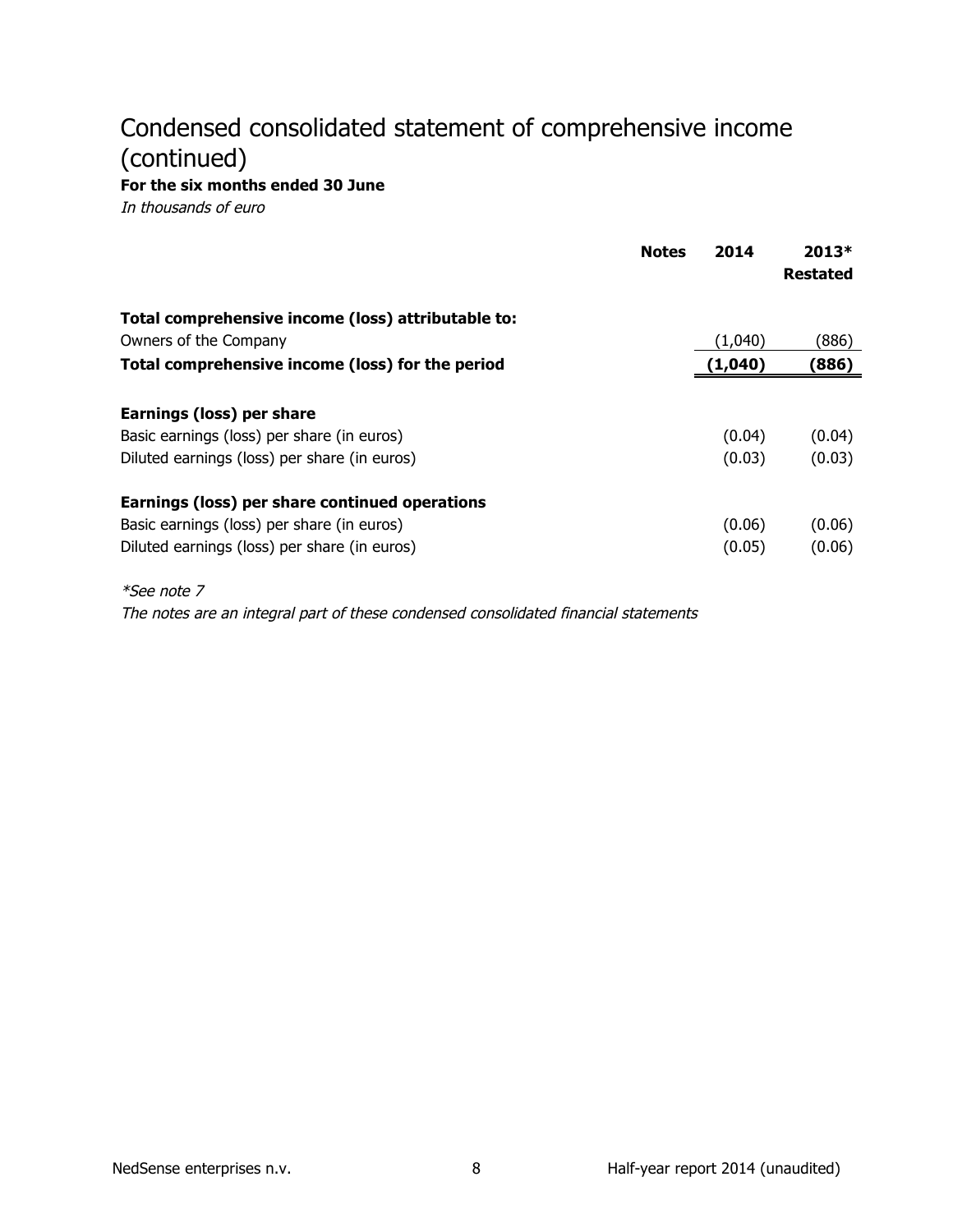# Condensed consolidated statement of comprehensive income (continued)

For the six months ended 30 June

In thousands of euro

|                                                                                                                                              | <b>Notes</b> | 2014             | $2013*$<br><b>Restated</b> |
|----------------------------------------------------------------------------------------------------------------------------------------------|--------------|------------------|----------------------------|
| Total comprehensive income (loss) attributable to:                                                                                           |              |                  |                            |
| Owners of the Company                                                                                                                        |              | (1,040)          | (886)                      |
| Total comprehensive income (loss) for the period                                                                                             |              | (1,040)          | (886)                      |
| Earnings (loss) per share<br>Basic earnings (loss) per share (in euros)<br>Diluted earnings (loss) per share (in euros)                      |              | (0.04)<br>(0.03) | (0.04)<br>(0.03)           |
| Earnings (loss) per share continued operations<br>Basic earnings (loss) per share (in euros)<br>Diluted earnings (loss) per share (in euros) |              | (0.06)<br>(0.05) | (0.06)<br>(0.06)           |
| <i>*See note 7</i>                                                                                                                           |              |                  |                            |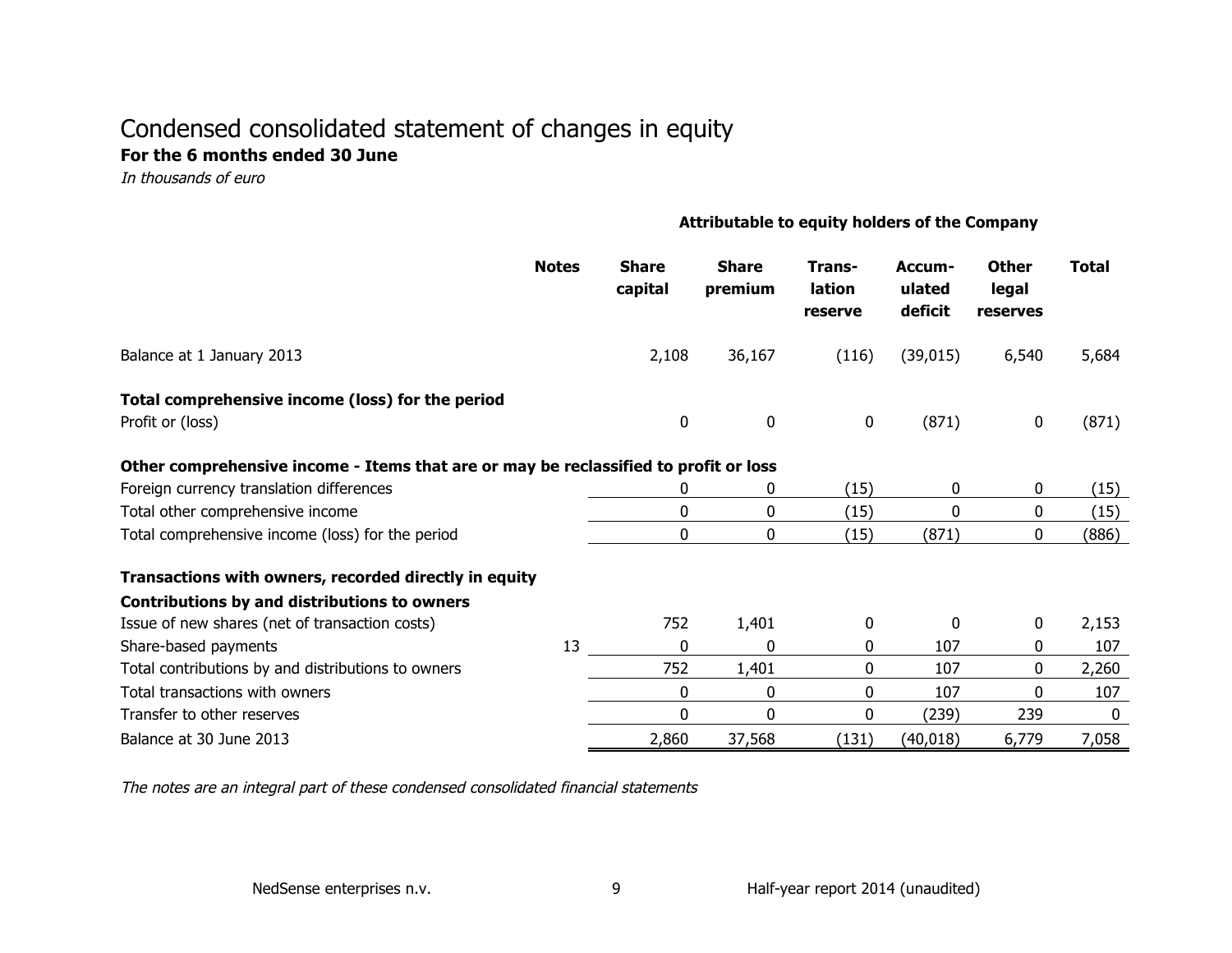# Condensed consolidated statement of changes in equity For the 6 months ended 30 June

In thousands of euro

#### Attributable to equity holders of the Company

|                                                                                      | <b>Notes</b> | <b>Share</b><br>capital | <b>Share</b><br>premium | Trans-<br>lation<br>reserve | Accum-<br>ulated<br>deficit | <b>Other</b><br>legal<br>reserves | <b>Total</b> |
|--------------------------------------------------------------------------------------|--------------|-------------------------|-------------------------|-----------------------------|-----------------------------|-----------------------------------|--------------|
| Balance at 1 January 2013                                                            |              | 2,108                   | 36,167                  | (116)                       | (39, 015)                   | 6,540                             | 5,684        |
| Total comprehensive income (loss) for the period                                     |              |                         |                         |                             |                             |                                   |              |
| Profit or (loss)                                                                     |              | 0                       | $\mathbf 0$             | $\mathbf 0$                 | (871)                       | $\mathbf 0$                       | (871)        |
| Other comprehensive income - Items that are or may be reclassified to profit or loss |              |                         |                         |                             |                             |                                   |              |
| Foreign currency translation differences                                             |              | 0                       | 0                       | (15)                        | 0                           | 0                                 | (15)         |
| Total other comprehensive income                                                     |              | 0                       | 0                       | (15)                        | 0                           | 0                                 | (15)         |
| Total comprehensive income (loss) for the period                                     |              | 0                       | 0                       | (15)                        | (871)                       | 0                                 | (886)        |
| Transactions with owners, recorded directly in equity                                |              |                         |                         |                             |                             |                                   |              |
| Contributions by and distributions to owners                                         |              |                         |                         |                             |                             |                                   |              |
| Issue of new shares (net of transaction costs)                                       |              | 752                     | 1,401                   | 0                           | $\mathbf{0}$                | 0                                 | 2,153        |
| Share-based payments                                                                 | 13           | $\Omega$                | $\mathbf 0$             | 0                           | 107                         | 0                                 | 107          |
| Total contributions by and distributions to owners                                   |              | 752                     | 1,401                   | 0                           | 107                         | 0                                 | 2,260        |
| Total transactions with owners                                                       |              | $\Omega$                | 0                       | 0                           | 107                         | 0                                 | 107          |
| Transfer to other reserves                                                           |              | $\Omega$                | $\mathbf{0}$            | 0                           | (239)                       | 239                               | $\mathbf{0}$ |
| Balance at 30 June 2013                                                              |              | 2,860                   | 37,568                  | (131)                       | (40, 018)                   | 6,779                             | 7,058        |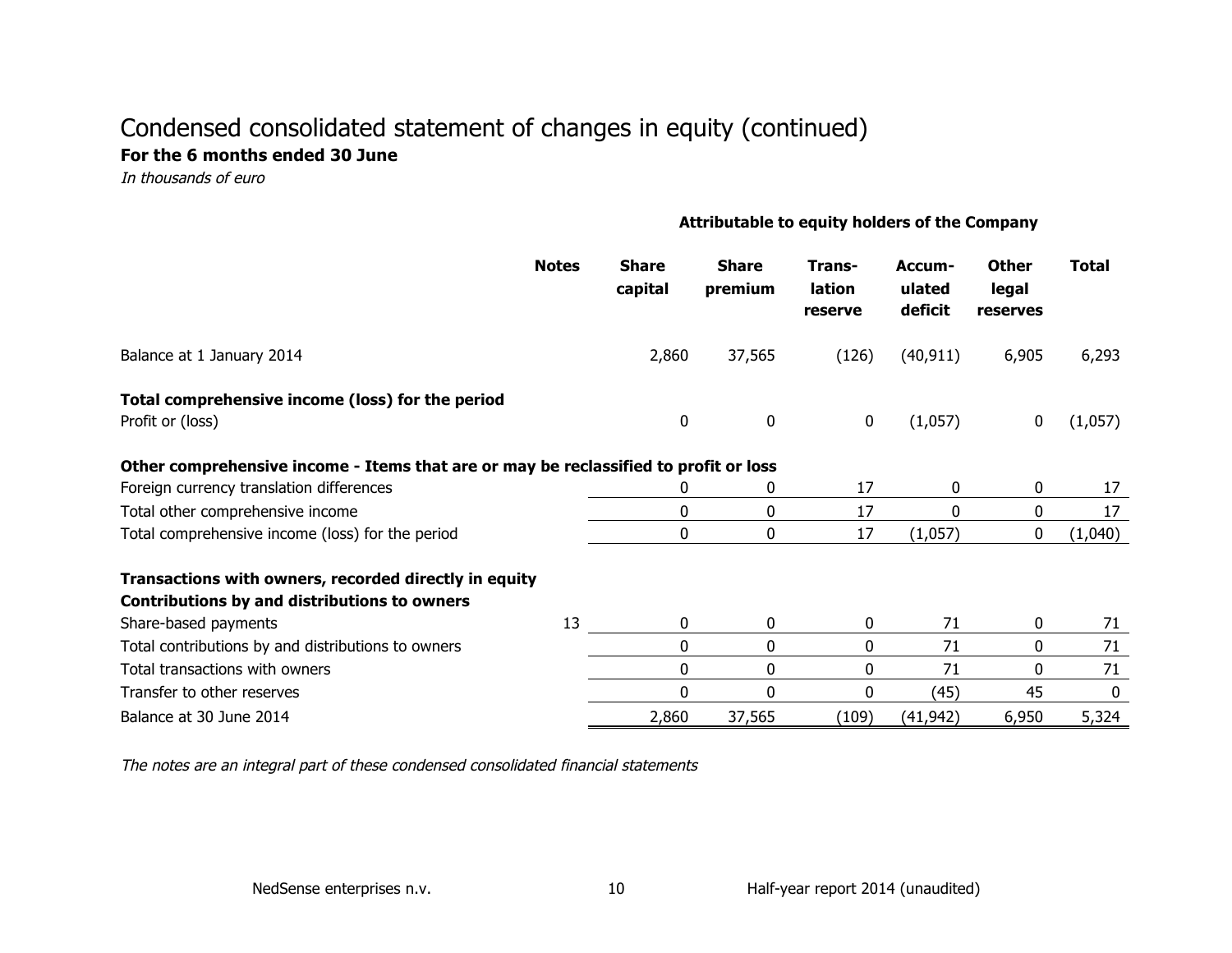# Condensed consolidated statement of changes in equity (continued) For the 6 months ended 30 June

In thousands of euro

#### Attributable to equity holders of the Company

|                                                                                                       | <b>Notes</b> | <b>Share</b><br>capital | <b>Share</b><br>premium | Trans-<br>lation<br>reserve | Accum-<br>ulated<br>deficit | <b>Other</b><br>legal<br>reserves | <b>Total</b> |
|-------------------------------------------------------------------------------------------------------|--------------|-------------------------|-------------------------|-----------------------------|-----------------------------|-----------------------------------|--------------|
| Balance at 1 January 2014                                                                             |              | 2,860                   | 37,565                  | (126)                       | (40, 911)                   | 6,905                             | 6,293        |
| Total comprehensive income (loss) for the period<br>Profit or (loss)                                  |              | 0                       | $\bf{0}$                | 0                           | (1,057)                     | 0                                 | (1,057)      |
| Other comprehensive income - Items that are or may be reclassified to profit or loss                  |              |                         |                         |                             |                             |                                   |              |
| Foreign currency translation differences                                                              |              |                         | 0                       | 17                          | 0                           | 0                                 | 17           |
| Total other comprehensive income                                                                      |              | 0                       | 0                       | 17                          | 0                           | 0                                 | 17           |
| Total comprehensive income (loss) for the period                                                      |              | 0                       | 0                       | 17                          | (1,057)                     | 0                                 | (1,040)      |
| Transactions with owners, recorded directly in equity<br>Contributions by and distributions to owners |              |                         |                         |                             |                             |                                   |              |
| Share-based payments                                                                                  | 13           | 0                       | 0                       | 0                           | 71                          | 0                                 | 71           |
| Total contributions by and distributions to owners                                                    |              | $\mathbf{0}$            | 0                       | 0                           | 71                          | 0                                 | 71           |
| Total transactions with owners                                                                        |              | 0                       | 0                       | 0                           | 71                          | 0                                 | 71           |
| Transfer to other reserves                                                                            |              | 0                       | 0                       | 0                           | (45)                        | 45                                | 0            |
| Balance at 30 June 2014                                                                               |              | 2,860                   | 37,565                  | (109)                       | (41, 942)                   | 6,950                             | 5,324        |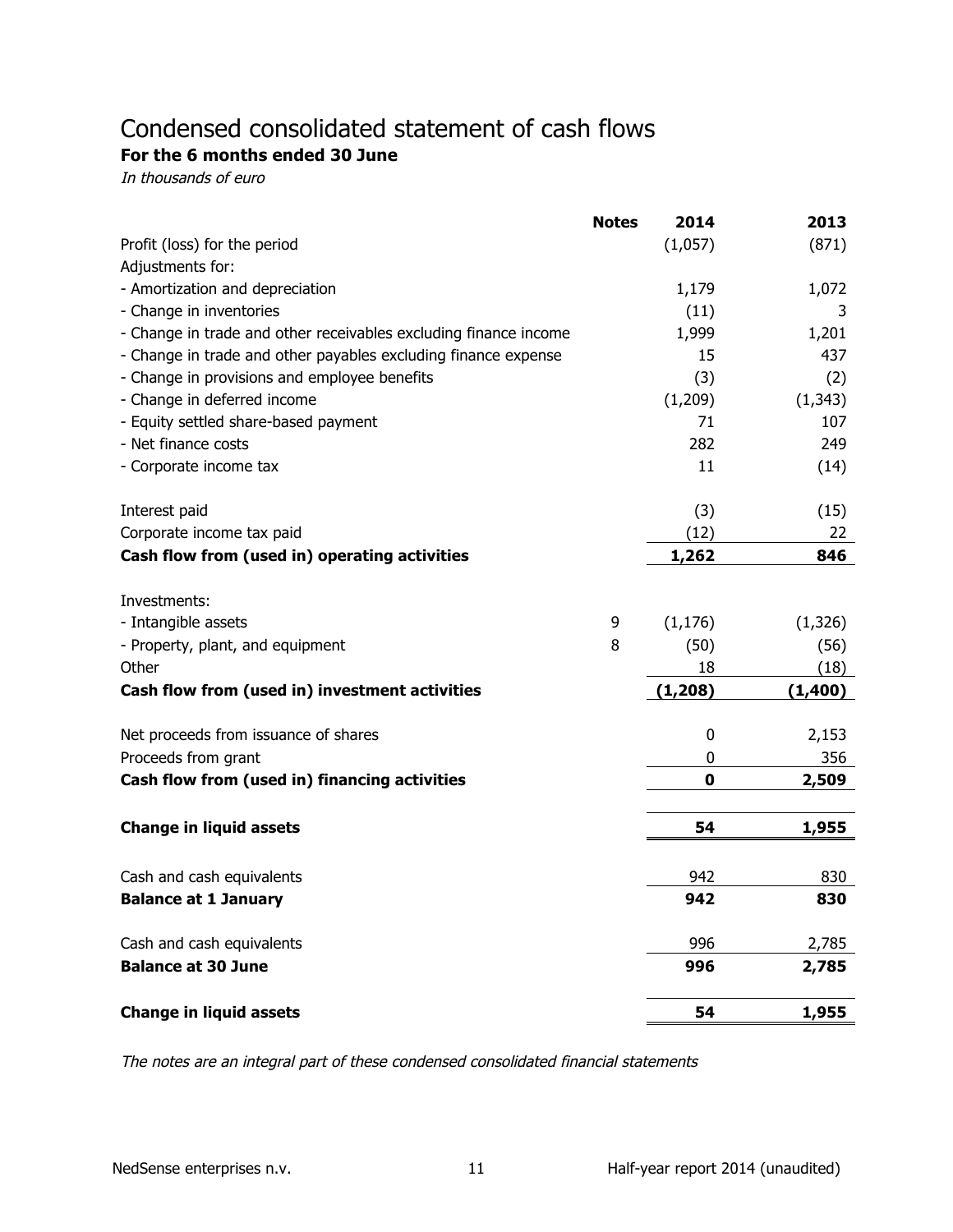# Condensed consolidated statement of cash flows For the 6 months ended 30 June

In thousands of euro

|                                                                  | <b>Notes</b> | 2014        | 2013     |
|------------------------------------------------------------------|--------------|-------------|----------|
| Profit (loss) for the period                                     |              | (1,057)     | (871)    |
| Adjustments for:                                                 |              |             |          |
| - Amortization and depreciation                                  |              | 1,179       | 1,072    |
| - Change in inventories                                          |              | (11)        | 3        |
| - Change in trade and other receivables excluding finance income |              | 1,999       | 1,201    |
| - Change in trade and other payables excluding finance expense   |              | 15          | 437      |
| - Change in provisions and employee benefits                     |              | (3)         | (2)      |
| - Change in deferred income                                      |              | (1,209)     | (1, 343) |
| - Equity settled share-based payment                             |              | 71          | 107      |
| - Net finance costs                                              |              | 282         | 249      |
| - Corporate income tax                                           |              | 11          | (14)     |
| Interest paid                                                    |              | (3)         | (15)     |
| Corporate income tax paid                                        |              | (12)        | 22       |
| Cash flow from (used in) operating activities                    |              | 1,262       | 846      |
| Investments:                                                     |              |             |          |
| - Intangible assets                                              | 9            | (1, 176)    | (1, 326) |
| - Property, plant, and equipment                                 | 8            | (50)        | (56)     |
| Other                                                            |              | 18          | (18)     |
| Cash flow from (used in) investment activities                   |              | (1, 208)    | (1,400)  |
|                                                                  |              |             |          |
| Net proceeds from issuance of shares                             |              | 0           | 2,153    |
| Proceeds from grant                                              |              | 0           | 356      |
| Cash flow from (used in) financing activities                    |              | $\mathbf 0$ | 2,509    |
| <b>Change in liquid assets</b>                                   |              | 54          | 1,955    |
|                                                                  |              |             |          |
| Cash and cash equivalents                                        |              | 942         | 830      |
| <b>Balance at 1 January</b>                                      |              | 942         | 830      |
| Cash and cash equivalents                                        |              | 996         | 2,785    |
| <b>Balance at 30 June</b>                                        |              | 996         | 2,785    |
| <b>Change in liquid assets</b>                                   |              | 54          | 1,955    |
|                                                                  |              |             |          |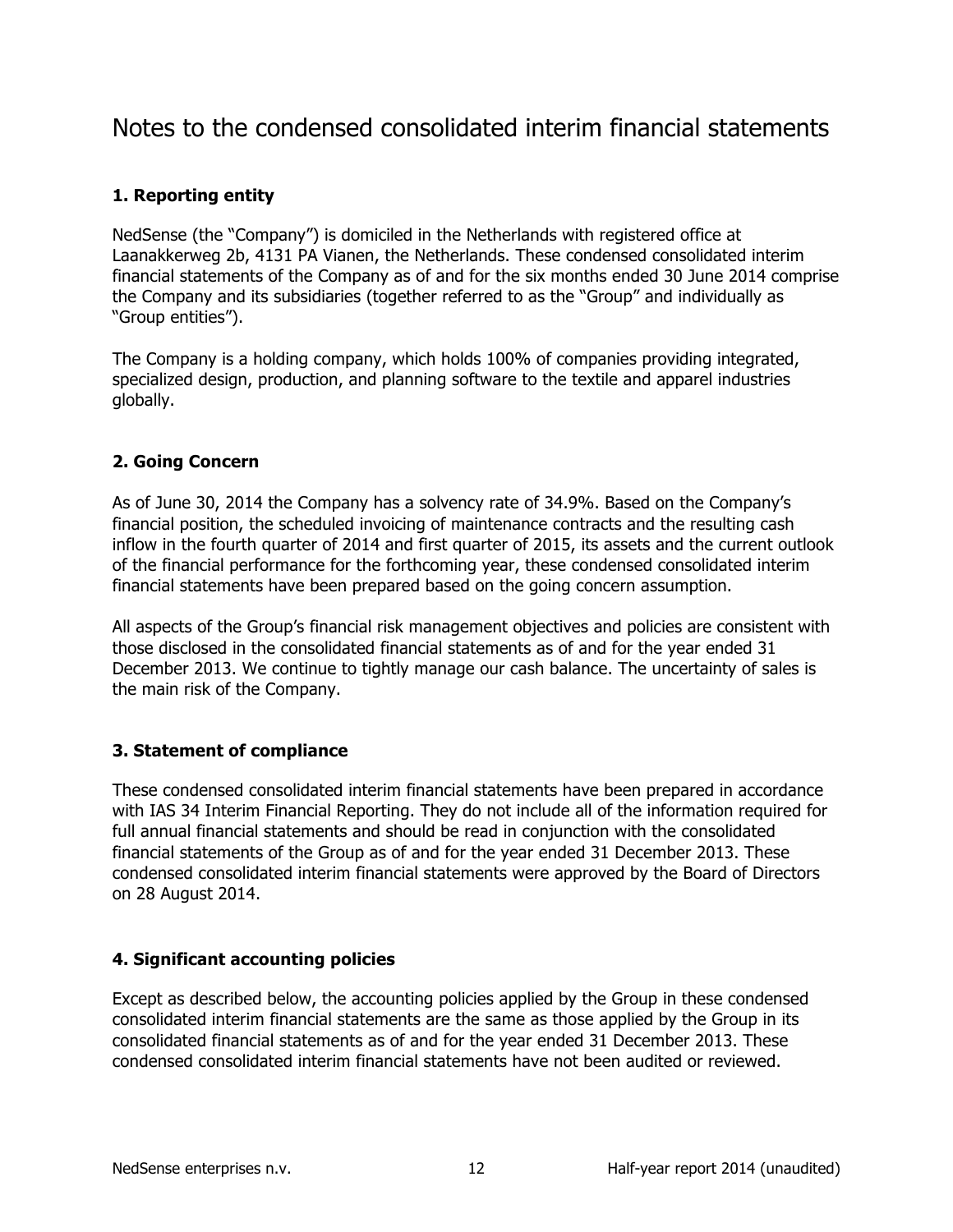# Notes to the condensed consolidated interim financial statements

# **1. Reporting entity**

NedSense (the "Company") is domiciled in the Netherlands with registered office at Laanakkerweg 2b, 4131 PA Vianen, the Netherlands. These condensed consolidated interim financial statements of the Company as of and for the six months ended 30 June 2014 comprise the Company and its subsidiaries (together referred to as the "Group" and individually as "Group entities").

The Company is a holding company, which holds 100% of companies providing integrated, specialized design, production, and planning software to the textile and apparel industries globally.

# **2. Going Concern**

As of June 30, 2014 the Company has a solvency rate of 34.9%. Based on the Company's financial position, the scheduled invoicing of maintenance contracts and the resulting cash inflow in the fourth quarter of 2014 and first quarter of 2015, its assets and the current outlook of the financial performance for the forthcoming year, these condensed consolidated interim financial statements have been prepared based on the going concern assumption.

All aspects of the Group's financial risk management objectives and policies are consistent with those disclosed in the consolidated financial statements as of and for the year ended 31 December 2013. We continue to tightly manage our cash balance. The uncertainty of sales is the main risk of the Company.

# **3. Statement of compliance**

These'condensed'consolidated'interim'financial'statements'have'been'prepared'in'accordance' with IAS 34 Interim Financial Reporting. They do not include all of the information required for full annual financial statements and should be read in conjunction with the consolidated financial statements of the Group as of and for the year ended 31 December 2013. These condensed consolidated interim financial statements were approved by the Board of Directors on 28 August 2014.

# **4. Significant accounting policies**

Except as described below, the accounting policies applied by the Group in these condensed consolidated interim financial statements are the same as those applied by the Group in its consolidated financial statements as of and for the year ended 31 December 2013. These condensed consolidated interim financial statements have not been audited or reviewed.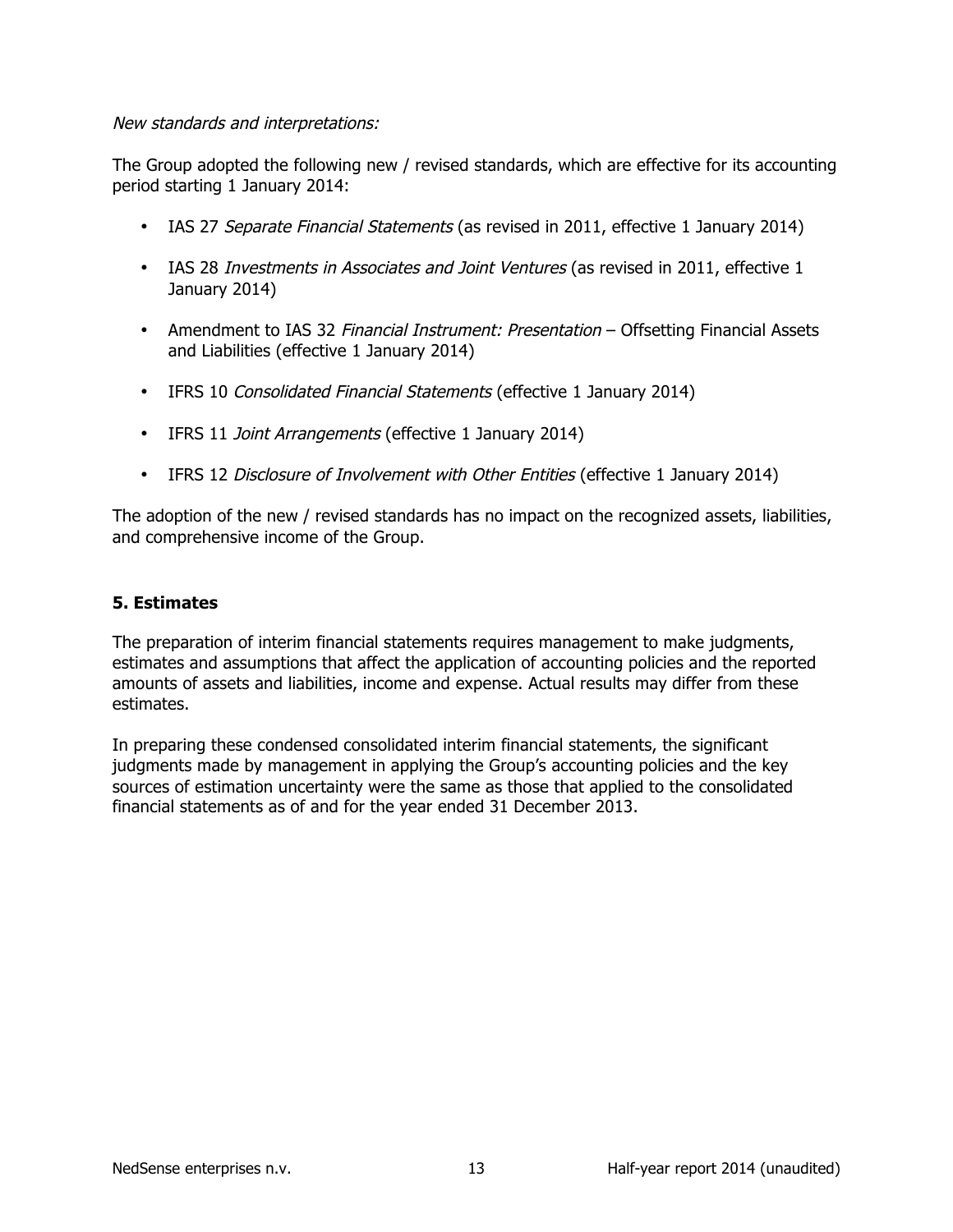### New standards and interpretations:

The Group adopted the following new / revised standards, which are effective for its accounting period starting 1 January 2014:

- IAS 27 Separate Financial Statements (as revised in 2011, effective 1 January 2014)
- IAS 28 Investments in Associates and Joint Ventures (as revised in 2011, effective 1 January 2014)
- Amendment to IAS 32 Financial Instrument: Presentation Offsetting Financial Assets and Liabilities (effective 1 January 2014)
- IFRS 10 Consolidated Financial Statements (effective 1 January 2014)
- IFRS 11 *Joint Arrangements* (effective 1 January 2014)
- IFRS 12 Disclosure of Involvement with Other Entities (effective 1 January 2014)

The adoption of the new / revised standards has no impact on the recognized assets, liabilities, and comprehensive income of the Group.

# **5.\$Estimates\$**

The preparation of interim financial statements requires management to make judgments, estimates and assumptions that affect the application of accounting policies and the reported amounts of assets and liabilities, income and expense. Actual results may differ from these estimates.

In preparing these condensed consolidated interim financial statements, the significant judgments made by management in applying the Group's accounting policies and the key sources of estimation uncertainty were the same as those that applied to the consolidated financial statements as of and for the year ended 31 December 2013.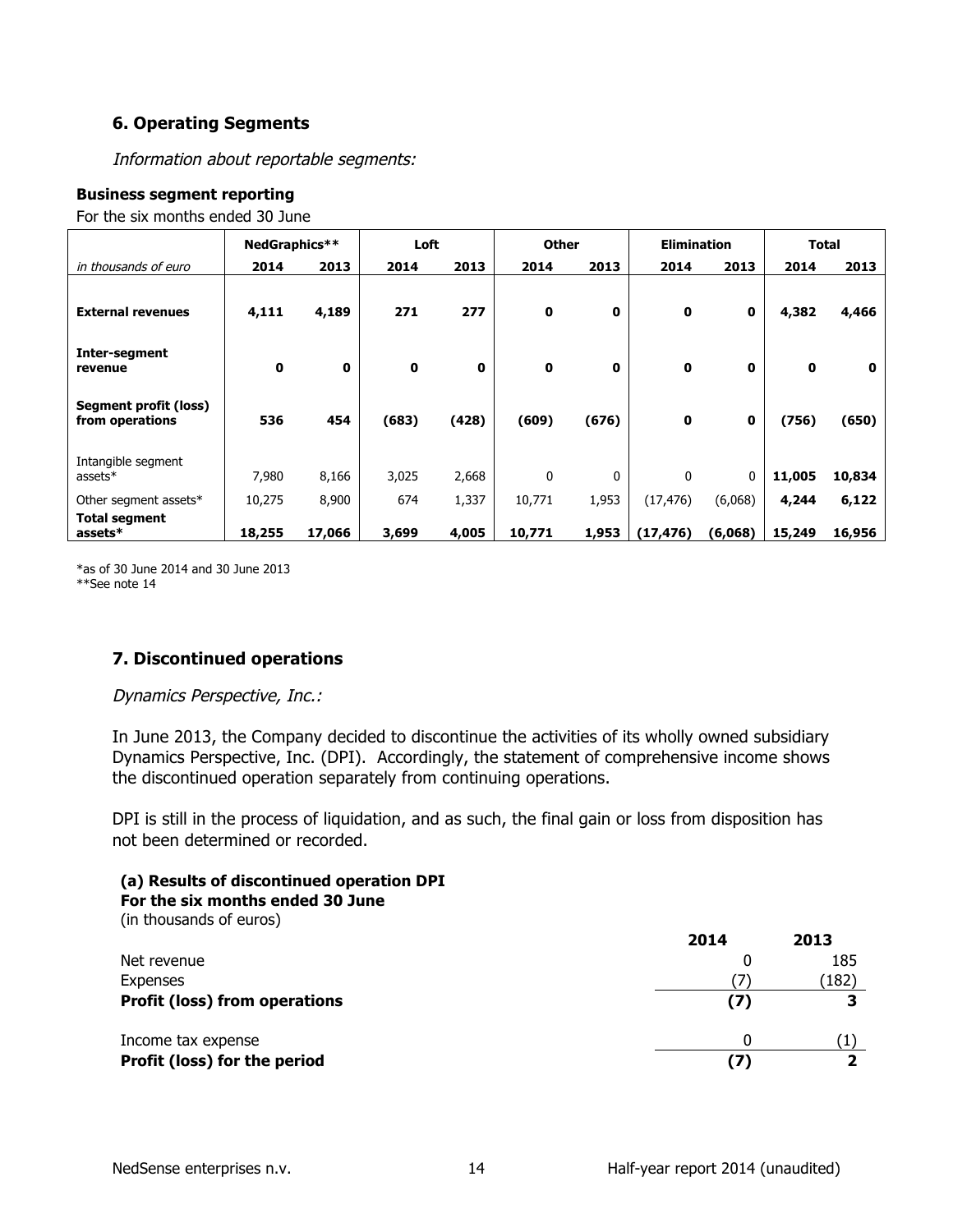# **6. Operating Segments**

Information about reportable segments:

#### **Business segment reporting**

For the six months ended 30 June

|                                          | NedGraphics** |              | Loft        |       | <b>Other</b> |              | <b>Elimination</b> |              |        | Total  |
|------------------------------------------|---------------|--------------|-------------|-------|--------------|--------------|--------------------|--------------|--------|--------|
| in thousands of euro                     | 2014          | 2013         | 2014        | 2013  | 2014         | 2013         | 2014               | 2013         | 2014   | 2013   |
| <b>External revenues</b>                 | 4,111         | 4,189        | 271         | 277   | $\mathbf 0$  | $\mathbf 0$  | 0                  | $\mathbf 0$  | 4,382  | 4,466  |
| Inter-segment<br>revenue                 | $\mathbf 0$   | $\mathbf{0}$ | $\mathbf 0$ | 0     | $\mathbf{0}$ | $\mathbf{0}$ | 0                  | $\mathbf{0}$ | 0      | 0      |
| Segment profit (loss)<br>from operations | 536           | 454          | (683)       | (428) | (609)        | (676)        | 0                  | 0            | (756)  | (650)  |
| Intangible segment<br>assets $*$         | 7,980         | 8,166        | 3,025       | 2,668 | 0            | 0            | 0                  | 0            | 11,005 | 10,834 |
| Other segment assets*                    | 10,275        | 8,900        | 674         | 1,337 | 10,771       | 1,953        | (17, 476)          | (6,068)      | 4,244  | 6,122  |
| <b>Total segment</b><br>assets*          | 18,255        | 17,066       | 3,699       | 4,005 | 10,771       | 1,953        | (17, 476)          | (6,068)      | 15,249 | 16,956 |

 $*$ as of 30 June 2014 and 30 June 2013 \*\*See note 14

# **7. Discontinued operations**

Dynamics Perspective, Inc.:

In June 2013, the Company decided to discontinue the activities of its wholly owned subsidiary Dynamics Perspective, Inc. (DPI). Accordingly, the statement of comprehensive income shows the discontinued operation separately from continuing operations.

DPI is still in the process of liquidation, and as such, the final gain or loss from disposition has not been determined or recorded.

#### **(a)\$Results\$of\$discontinued\$operation DPI** For the six months ended 30 June

(in thousands of euros)

|                                      | 2014 | 2013  |
|--------------------------------------|------|-------|
| Net revenue                          |      | 185   |
| Expenses                             |      | (182) |
| <b>Profit (loss) from operations</b> | (7)  | 3     |
| Income tax expense                   |      |       |
| Profit (loss) for the period         | (7)  |       |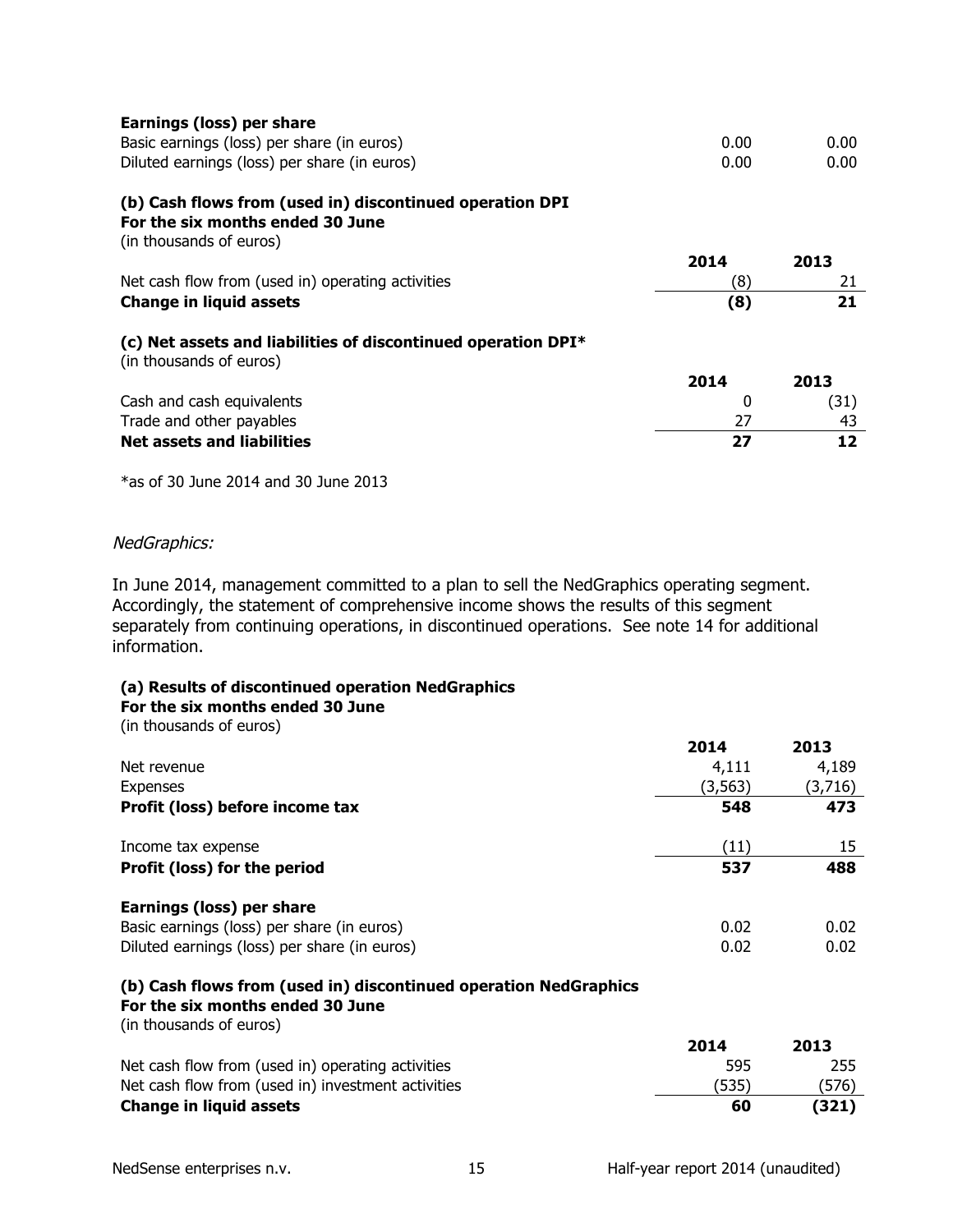| Earnings (loss) per share                                                                                               |      |      |
|-------------------------------------------------------------------------------------------------------------------------|------|------|
| Basic earnings (loss) per share (in euros)                                                                              | 0.00 | 0.00 |
| Diluted earnings (loss) per share (in euros)                                                                            | 0.00 | 0.00 |
| (b) Cash flows from (used in) discontinued operation DPI<br>For the six months ended 30 June<br>(in thousands of euros) |      |      |
|                                                                                                                         | 2014 | 2013 |
| Net cash flow from (used in) operating activities                                                                       | (8)  | 21   |
| <b>Change in liquid assets</b>                                                                                          | (8)  | 21   |
| (c) Net assets and liabilities of discontinued operation $DPI^*$<br>(in thousands of euros)                             |      |      |
|                                                                                                                         | 2014 | 2013 |
| Cash and cash equivalents                                                                                               | 0    | (31) |
| Trade and other payables                                                                                                | 27   | 43   |
| <b>Net assets and liabilities</b>                                                                                       | 27   | 12   |
| $*$ as of 30 June 2014 and 30 June 2013                                                                                 |      |      |

NedGraphics:

In June 2014, management committed to a plan to sell the NedGraphics operating segment. Accordingly, the statement of comprehensive income shows the results of this segment separately from continuing operations, in discontinued operations. See note 14 for additional information.

#### **(a)\$Results\$of\$discontinued\$operation NedGraphics**

#### For the six months ended 30 June

(in thousands of euros)

|                                              | 2014     | 2013    |
|----------------------------------------------|----------|---------|
| Net revenue                                  | 4,111    | 4,189   |
| Expenses                                     | (3, 563) | (3,716) |
| Profit (loss) before income tax              | 548      | 473     |
| Income tax expense                           | (11)     | 15      |
| Profit (loss) for the period                 | 537      | 488     |
| Earnings (loss) per share                    |          |         |
| Basic earnings (loss) per share (in euros)   | 0.02     | 0.02    |
| Diluted earnings (loss) per share (in euros) | 0.02     | 0.02    |

# **(b)\$Cash\$flows\$from\$(used\$in)\$discontinued\$operation NedGraphics**

# For the six months ended 30 June

(in thousands of euros)

|                                                    | 2014  | 2013  |
|----------------------------------------------------|-------|-------|
| Net cash flow from (used in) operating activities  | 595   | 255   |
| Net cash flow from (used in) investment activities | (535) | 576)  |
| <b>Change in liquid assets</b>                     | 60    | (321) |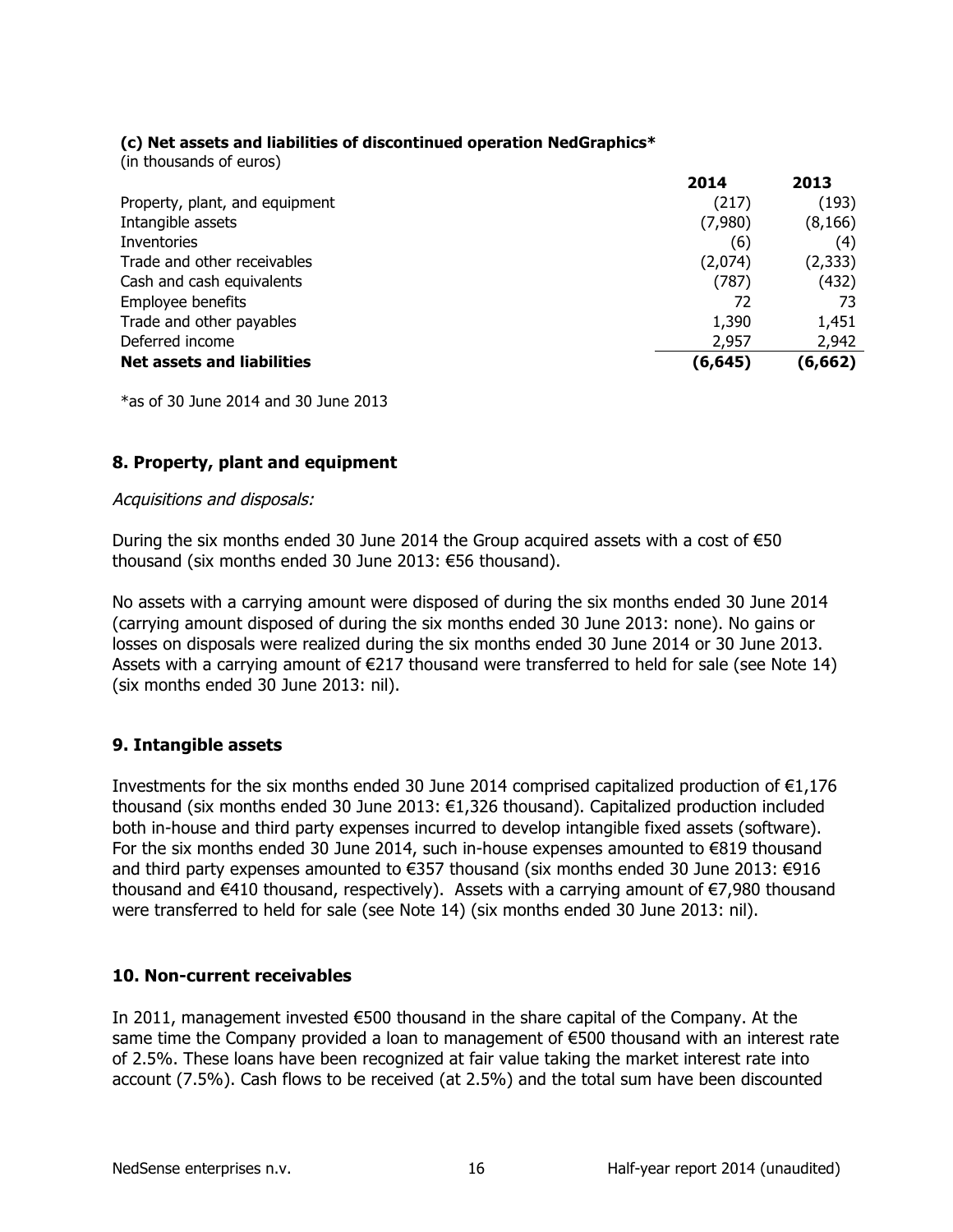# **(c)\$Net\$assets\$and\$liabilities\$of\$discontinued operation NedGraphics\***

(in thousands of euros)

|                                   | 2014     | 2013     |
|-----------------------------------|----------|----------|
| Property, plant, and equipment    | (217)    | (193)    |
| Intangible assets                 | (7,980)  | (8, 166) |
| Inventories                       | (6)      | (4)      |
| Trade and other receivables       | (2,074)  | (2, 333) |
| Cash and cash equivalents         | (787)    | (432)    |
| Employee benefits                 | 72       | 73       |
| Trade and other payables          | 1,390    | 1,451    |
| Deferred income                   | 2,957    | 2,942    |
| <b>Net assets and liabilities</b> | (6, 645) | (6, 662) |

 $*$ as of 30 June 2014 and 30 June 2013

# **8. Property, plant and equipment**

#### Acquisitions and disposals:

During the six months ended 30 June 2014 the Group acquired assets with a cost of €50 thousand (six months ended 30 June 2013: €56 thousand).

No assets with a carrying amount were disposed of during the six months ended 30 June 2014 (carrying amount disposed of during the six months ended 30 June 2013: none). No gains or losses on disposals were realized during the six months ended 30 June 2014 or 30 June 2013. Assets with a carrying amount of  $\epsilon$ 217 thousand were transferred to held for sale (see Note 14) (six months ended 30 June 2013: nil).

# **9. Intangible assets**

Investments for the six months ended 30 June 2014 comprised capitalized production of  $E1,176$ thousand (six months ended 30 June 2013: €1,326 thousand). Capitalized production included both in-house and third party expenses incurred to develop intangible fixed assets (software). For the six months ended 30 June 2014, such in-house expenses amounted to €819 thousand and third party expenses amounted to €357 thousand (six months ended 30 June 2013: €916 thousand and €410 thousand, respectively). Assets with a carrying amount of €7,980 thousand were transferred to held for sale (see Note 14) (six months ended 30 June 2013: nil).

# **10. Non-current receivables**

In 2011, management invested €500 thousand in the share capital of the Company. At the same time the Company provided a loan to management of €500 thousand with an interest rate of 2.5%. These loans have been recognized at fair value taking the market interest rate into account (7.5%). Cash flows to be received (at 2.5%) and the total sum have been discounted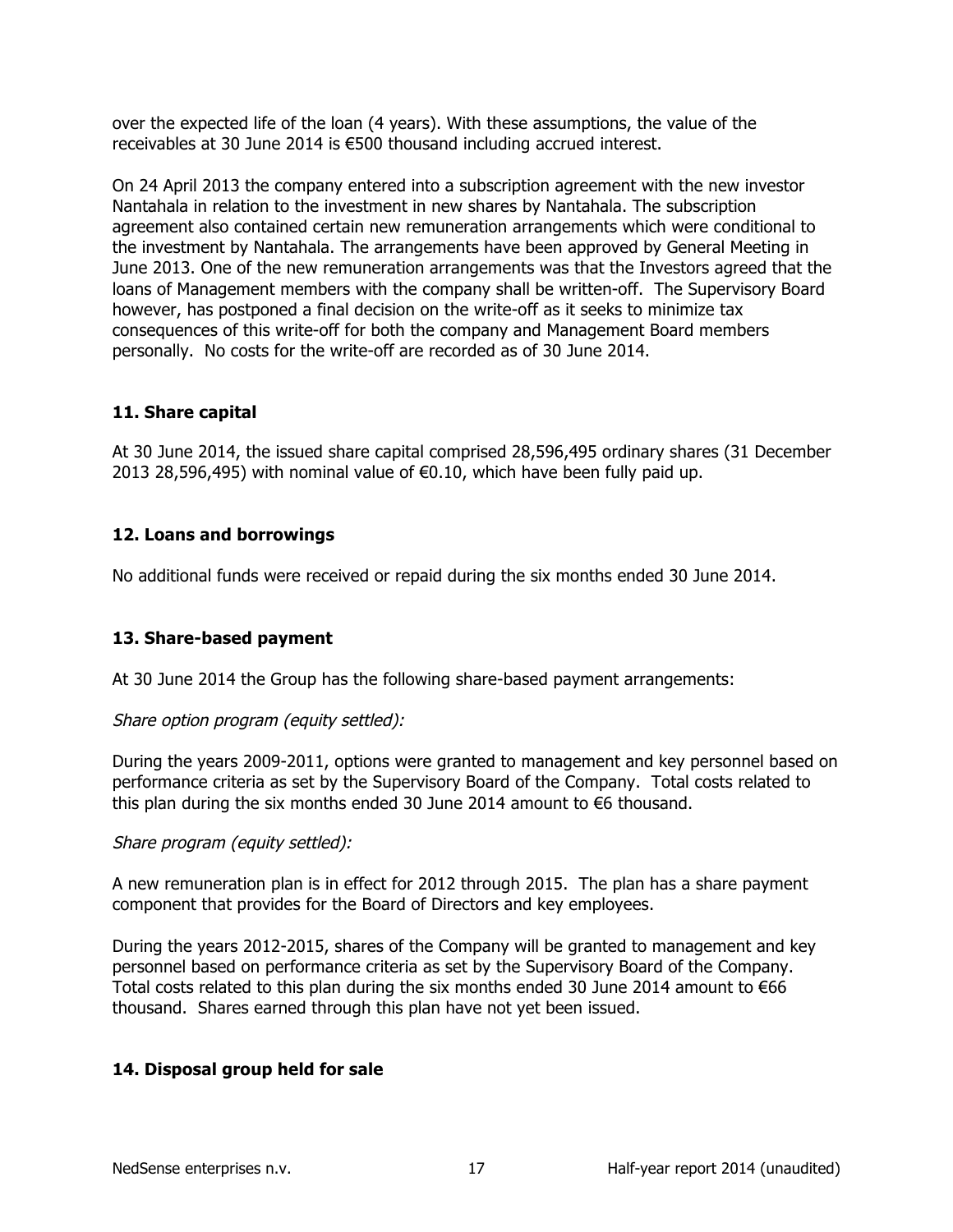over the expected life of the loan (4 years). With these assumptions, the value of the receivables at 30 June 2014 is €500 thousand including accrued interest.

On 24 April 2013 the company entered into a subscription agreement with the new investor Nantahala in relation to the investment in new shares by Nantahala. The subscription agreement also contained certain new remuneration arrangements which were conditional to the investment by Nantahala. The arrangements have been approved by General Meeting in June 2013. One of the new remuneration arrangements was that the Investors agreed that the loans of Management members with the company shall be written-off. The Supervisory Board however, has postponed a final decision on the write-off as it seeks to minimize tax consequences of this write-off for both the company and Management Board members personally. No costs for the write-off are recorded as of 30 June 2014.

# **11. Share capital**

At 30 June 2014, the issued share capital comprised 28,596,495 ordinary shares (31 December) 2013 28,596,495) with nominal value of €0.10, which have been fully paid up.

# **12. Loans and borrowings**

No additional funds were received or repaid during the six months ended 30 June 2014.

# **13. Share-based payment**

At 30 June 2014 the Group has the following share-based payment arrangements:

# Share option program (equity settled):

During the years 2009-2011, options were granted to management and key personnel based on performance criteria as set by the Supervisory Board of the Company. Total costs related to this plan during the six months ended 30 June 2014 amount to  $\epsilon$ 6 thousand.

# Share program (equity settled):

A new remuneration plan is in effect for 2012 through 2015. The plan has a share payment component that provides for the Board of Directors and key employees.

During the years 2012-2015, shares of the Company will be granted to management and key personnel based on performance criteria as set by the Supervisory Board of the Company. Total costs related to this plan during the six months ended 30 June 2014 amount to €66 thousand. Shares earned through this plan have not yet been issued.

# **14. Disposal group held for sale**